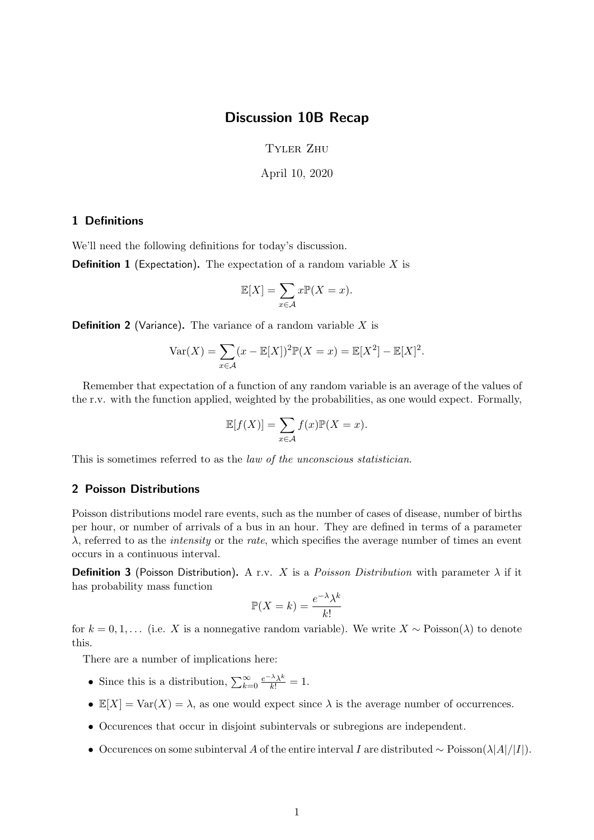## Discussion 10B Recap

Tyler Zhu

April 10, 2020

## 1 Definitions

We'll need the following definitions for today's discussion.

**Definition 1** (Expectation). The expectation of a random variable  $X$  is

$$
\mathbb{E}[X] = \sum_{x \in \mathcal{A}} x \mathbb{P}(X = x).
$$

**Definition 2** (Variance). The variance of a random variable  $X$  is

$$
Var(X) = \sum_{x \in \mathcal{A}} (x - \mathbb{E}[X])^2 \mathbb{P}(X = x) = \mathbb{E}[X^2] - \mathbb{E}[X]^2.
$$

Remember that expectation of a function of any random variable is an average of the values of the r.v. with the function applied, weighted by the probabilities, as one would expect. Formally,

$$
\mathbb{E}[f(X)] = \sum_{x \in \mathcal{A}} f(x)\mathbb{P}(X = x).
$$

This is sometimes referred to as the law of the unconscious statistician.

## 2 Poisson Distributions

Poisson distributions model rare events, such as the number of cases of disease, number of births per hour, or number of arrivals of a bus in an hour. They are defined in terms of a parameter  $\lambda$ , referred to as the *intensity* or the *rate*, which specifies the average number of times an event occurs in a continuous interval.

**Definition 3** (Poisson Distribution). A r.v. X is a *Poisson Distribution* with parameter  $\lambda$  if it has probability mass function

$$
\mathbb{P}(X=k) = \frac{e^{-\lambda}\lambda^k}{k!}
$$

for  $k = 0, 1, \ldots$  (i.e. X is a nonnegative random variable). We write  $X \sim \text{Poisson}(\lambda)$  to denote this.

There are a number of implications here:

- Since this is a distribution,  $\sum_{k=0}^{\infty} \frac{e^{-\lambda} \lambda^k}{k!} = 1$ .
- $\mathbb{E}[X] = \text{Var}(X) = \lambda$ , as one would expect since  $\lambda$  is the average number of occurrences.
- Occurences that occur in disjoint subintervals or subregions are independent.
- Occurences on some subinterval A of the entire interval I are distributed ∼ Poisson( $\lambda$ |A|/I|).